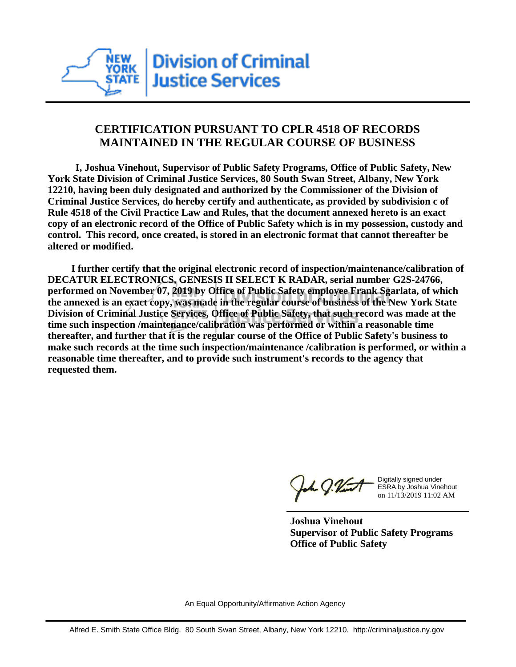

## **CERTIFICATION PURSUANT TO CPLR 4518 OF RECORDS MAINTAINED IN THE REGULAR COURSE OF BUSINESS**

 **I, Joshua Vinehout, Supervisor of Public Safety Programs, Office of Public Safety, New York State Division of Criminal Justice Services, 80 South Swan Street, Albany, New York 12210, having been duly designated and authorized by the Commissioner of the Division of Criminal Justice Services, do hereby certify and authenticate, as provided by subdivision c of Rule 4518 of the Civil Practice Law and Rules, that the document annexed hereto is an exact copy of an electronic record of the Office of Public Safety which is in my possession, custody and control. This record, once created, is stored in an electronic format that cannot thereafter be altered or modified.**

 **I further certify that the original electronic record of inspection/maintenance/calibration of DECATUR ELECTRONICS, GENESIS II SELECT K RADAR, serial number G2S-24766, performed on November 07, 2019 by Office of Public Safety employee Frank Sgarlata, of which the annexed is an exact copy, was made in the regular course of business of the New York State Division of Criminal Justice Services, Office of Public Safety, that such record was made at the time such inspection /maintenance/calibration was performed or within a reasonable time thereafter, and further that it is the regular course of the Office of Public Safety's business to make such records at the time such inspection/maintenance /calibration is performed, or within a reasonable time thereafter, and to provide such instrument's records to the agency that requested them.**

h J.Vint

Digitally signed under ESRA by Joshua Vinehout on 11/13/2019 11:02 AM

**Joshua Vinehout Supervisor of Public Safety Programs Office of Public Safety**

An Equal Opportunity/Affirmative Action Agency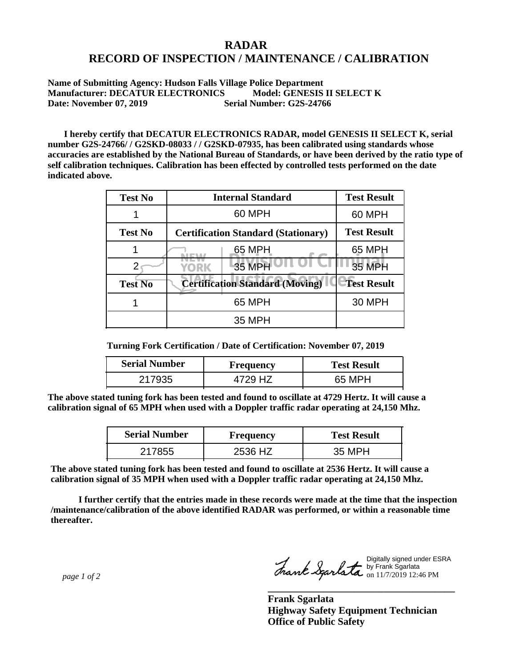## **RADAR RECORD OF INSPECTION / MAINTENANCE / CALIBRATION**

**Name of Submitting Agency: Hudson Falls Village Police Department Manufacturer: DECATUR ELECTRONICS Model: GENESIS II SELECT K Date: November 07, 2019** Serial Number: G2S-24766

 **I hereby certify that DECATUR ELECTRONICS RADAR, model GENESIS II SELECT K, serial number G2S-24766/ / G2SKD-08033 / / G2SKD-07935, has been calibrated using standards whose accuracies are established by the National Bureau of Standards, or have been derived by the ratio type of self calibration techniques. Calibration has been effected by controlled tests performed on the date indicated above.**

| <b>Test No</b> | <b>Internal Standard</b>                   | <b>Test Result</b> |
|----------------|--------------------------------------------|--------------------|
|                | 60 MPH                                     | 60 MPH             |
| <b>Test No</b> | <b>Certification Standard (Stationary)</b> | <b>Test Result</b> |
|                | 65 MPH                                     | 65 MPH             |
|                | 35 MPH<br>YORK                             | 35 MPH             |
| <b>Test No</b> | <b>Certification Standard (Moving)</b>     | <b>Test Result</b> |
|                | 65 MPH                                     | <b>30 MPH</b>      |
|                | 35 MPH                                     |                    |

**Turning Fork Certification / Date of Certification: November 07, 2019**

| <b>Serial Number</b> | Frequency | <b>Test Result</b> |
|----------------------|-----------|--------------------|
| 217935               | HZ        | 65 MPH             |

**The above stated tuning fork has been tested and found to oscillate at 4729 Hertz. It will cause a calibration signal of 65 MPH when used with a Doppler traffic radar operating at 24,150 Mhz.**

| <b>Serial Number</b> | <b>Frequency</b> | <b>Test Result</b> |
|----------------------|------------------|--------------------|
| 217855               | 2536 HZ          | 35 MPH             |

**The above stated tuning fork has been tested and found to oscillate at 2536 Hertz. It will cause a calibration signal of 35 MPH when used with a Doppler traffic radar operating at 24,150 Mhz.**

 **I further certify that the entries made in these records were made at the time that the inspection /maintenance/calibration of the above identified RADAR was performed, or within a reasonable time thereafter.**

 *page 1 of 2* 

Digitally signed under ESRA by Frank Sgarlata on 11/7/2019 12:46 PM

**\_\_\_\_\_\_\_\_\_\_\_\_\_\_\_\_\_\_\_\_\_\_\_\_\_\_\_\_\_\_\_\_\_\_\_\_\_**

**Frank Sgarlata Highway Safety Equipment Technician Office of Public Safety**